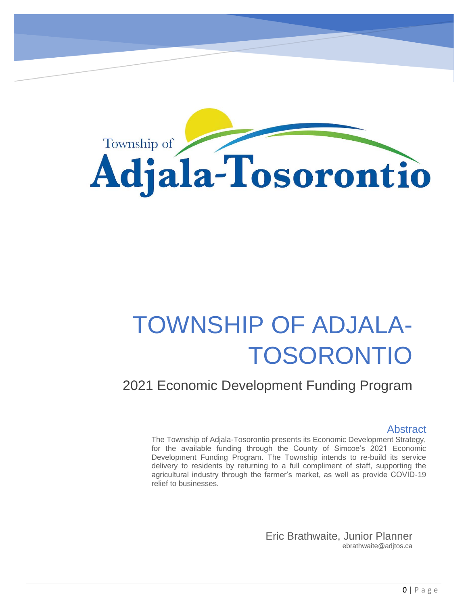Township of **Adjala-Tosorontio** 

# TOWNSHIP OF ADJALA-TOSORONTIO

### 2021 Economic Development Funding Program

#### Abstract

The Township of Adjala-Tosorontio presents its Economic Development Strategy, for the available funding through the County of Simcoe's 2021 Economic Development Funding Program. The Township intends to re-build its service delivery to residents by returning to a full compliment of staff, supporting the agricultural industry through the farmer's market, as well as provide COVID-19 relief to businesses.

> Eric Brathwaite, Junior Planner ebrathwaite@adjtos.ca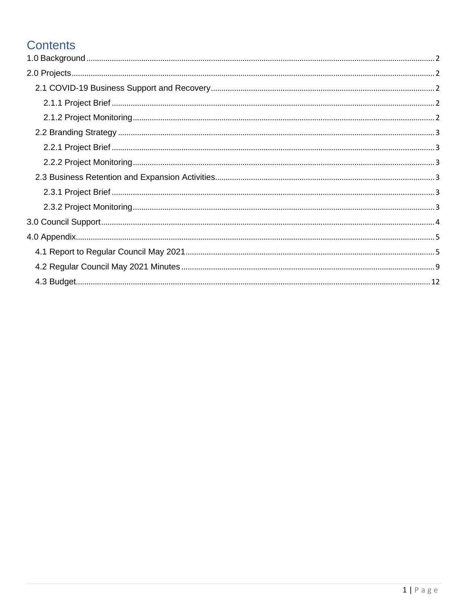### **Contents**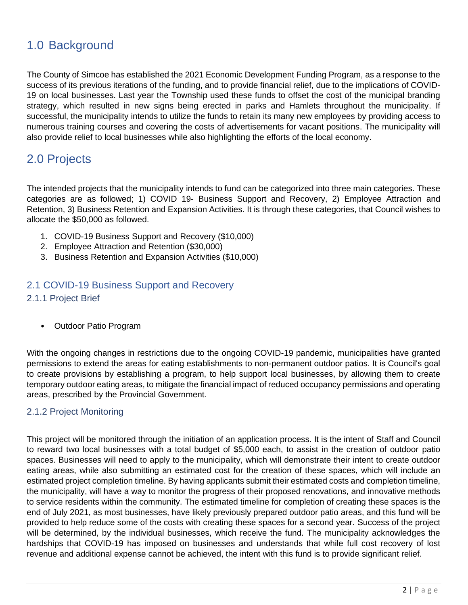### <span id="page-2-0"></span>1.0 Background

The County of Simcoe has established the 2021 Economic Development Funding Program, as a response to the success of its previous iterations of the funding, and to provide financial relief, due to the implications of COVID-19 on local businesses. Last year the Township used these funds to offset the cost of the municipal branding strategy, which resulted in new signs being erected in parks and Hamlets throughout the municipality. If successful, the municipality intends to utilize the funds to retain its many new employees by providing access to numerous training courses and covering the costs of advertisements for vacant positions. The municipality will also provide relief to local businesses while also highlighting the efforts of the local economy.

### <span id="page-2-1"></span>2.0 Projects

The intended projects that the municipality intends to fund can be categorized into three main categories. These categories are as followed; 1) COVID 19- Business Support and Recovery, 2) Employee Attraction and Retention, 3) Business Retention and Expansion Activities. It is through these categories, that Council wishes to allocate the \$50,000 as followed.

- 1. COVID-19 Business Support and Recovery (\$10,000)
- 2. Employee Attraction and Retention (\$30,000)
- 3. Business Retention and Expansion Activities (\$10,000)

#### <span id="page-2-2"></span>2.1 COVID-19 Business Support and Recovery

#### <span id="page-2-3"></span>2.1.1 Project Brief

• Outdoor Patio Program

With the ongoing changes in restrictions due to the ongoing COVID-19 pandemic, municipalities have granted permissions to extend the areas for eating establishments to non-permanent outdoor patios. It is Council's goal to create provisions by establishing a program, to help support local businesses, by allowing them to create temporary outdoor eating areas, to mitigate the financial impact of reduced occupancy permissions and operating areas, prescribed by the Provincial Government.

#### <span id="page-2-4"></span>2.1.2 Project Monitoring

This project will be monitored through the initiation of an application process. It is the intent of Staff and Council to reward two local businesses with a total budget of \$5,000 each, to assist in the creation of outdoor patio spaces. Businesses will need to apply to the municipality, which will demonstrate their intent to create outdoor eating areas, while also submitting an estimated cost for the creation of these spaces, which will include an estimated project completion timeline. By having applicants submit their estimated costs and completion timeline, the municipality, will have a way to monitor the progress of their proposed renovations, and innovative methods to service residents within the community. The estimated timeline for completion of creating these spaces is the end of July 2021, as most businesses, have likely previously prepared outdoor patio areas, and this fund will be provided to help reduce some of the costs with creating these spaces for a second year. Success of the project will be determined, by the individual businesses, which receive the fund. The municipality acknowledges the hardships that COVID-19 has imposed on businesses and understands that while full cost recovery of lost revenue and additional expense cannot be achieved, the intent with this fund is to provide significant relief.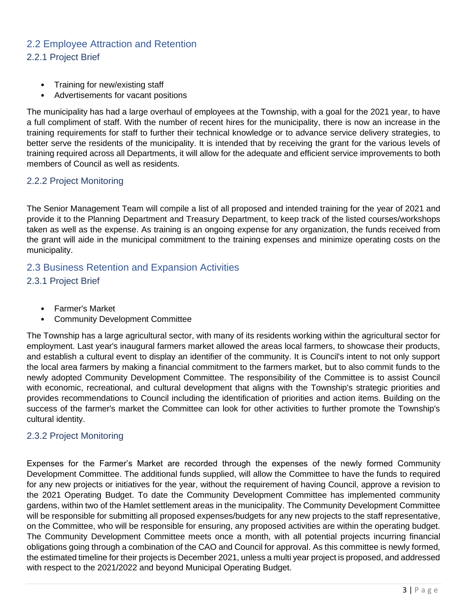#### <span id="page-3-1"></span><span id="page-3-0"></span>2.2 Employee Attraction and Retention 2.2.1 Project Brief

- 
- Training for new/existing staff • Advertisements for vacant positions

The municipality has had a large overhaul of employees at the Township, with a goal for the 2021 year, to have a full compliment of staff. With the number of recent hires for the municipality, there is now an increase in the training requirements for staff to further their technical knowledge or to advance service delivery strategies, to better serve the residents of the municipality. It is intended that by receiving the grant for the various levels of training required across all Departments, it will allow for the adequate and efficient service improvements to both members of Council as well as residents.

#### <span id="page-3-2"></span>2.2.2 Project Monitoring

The Senior Management Team will compile a list of all proposed and intended training for the year of 2021 and provide it to the Planning Department and Treasury Department, to keep track of the listed courses/workshops taken as well as the expense. As training is an ongoing expense for any organization, the funds received from the grant will aide in the municipal commitment to the training expenses and minimize operating costs on the municipality.

#### <span id="page-3-3"></span>2.3 Business Retention and Expansion Activities

<span id="page-3-4"></span>2.3.1 Project Brief

- Farmer's Market
- Community Development Committee

The Township has a large agricultural sector, with many of its residents working within the agricultural sector for employment. Last year's inaugural farmers market allowed the areas local farmers, to showcase their products, and establish a cultural event to display an identifier of the community. It is Council's intent to not only support the local area farmers by making a financial commitment to the farmers market, but to also commit funds to the newly adopted Community Development Committee. The responsibility of the Committee is to assist Council with economic, recreational, and cultural development that aligns with the Township's strategic priorities and provides recommendations to Council including the identification of priorities and action items. Building on the success of the farmer's market the Committee can look for other activities to further promote the Township's cultural identity.

#### <span id="page-3-5"></span>2.3.2 Project Monitoring

Expenses for the Farmer's Market are recorded through the expenses of the newly formed Community Development Committee. The additional funds supplied, will allow the Committee to have the funds to required for any new projects or initiatives for the year, without the requirement of having Council, approve a revision to the 2021 Operating Budget. To date the Community Development Committee has implemented community gardens, within two of the Hamlet settlement areas in the municipality. The Community Development Committee will be responsible for submitting all proposed expenses/budgets for any new projects to the staff representative, on the Committee, who will be responsible for ensuring, any proposed activities are within the operating budget. The Community Development Committee meets once a month, with all potential projects incurring financial obligations going through a combination of the CAO and Council for approval. As this committee is newly formed, the estimated timeline for their projects is December 2021, unless a multi year project is proposed, and addressed with respect to the 2021/2022 and beyond Municipal Operating Budget.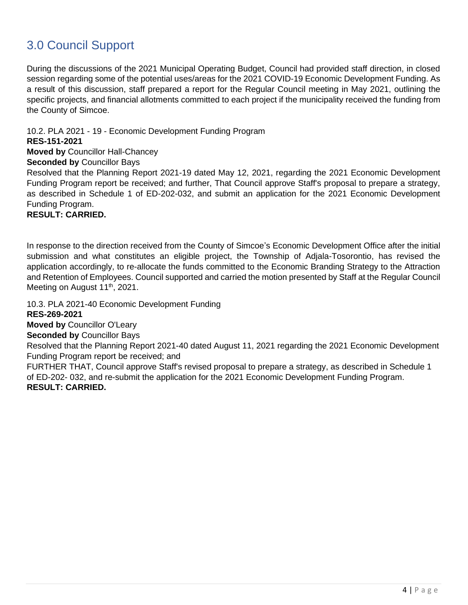### <span id="page-4-0"></span>3.0 Council Support

During the discussions of the 2021 Municipal Operating Budget, Council had provided staff direction, in closed session regarding some of the potential uses/areas for the 2021 COVID-19 Economic Development Funding. As a result of this discussion, staff prepared a report for the Regular Council meeting in May 2021, outlining the specific projects, and financial allotments committed to each project if the municipality received the funding from the County of Simcoe.

10.2. PLA 2021 - 19 - Economic Development Funding Program

#### **RES-151-2021**

**Moved by** Councillor Hall-Chancey

#### **Seconded by** Councillor Bays

Resolved that the Planning Report 2021-19 dated May 12, 2021, regarding the 2021 Economic Development Funding Program report be received; and further, That Council approve Staff's proposal to prepare a strategy, as described in Schedule 1 of ED-202-032, and submit an application for the 2021 Economic Development Funding Program.

#### **RESULT: CARRIED.**

In response to the direction received from the County of Simcoe's Economic Development Office after the initial submission and what constitutes an eligible project, the Township of Adjala-Tosorontio, has revised the application accordingly, to re-allocate the funds committed to the Economic Branding Strategy to the Attraction and Retention of Employees. Council supported and carried the motion presented by Staff at the Regular Council Meeting on August 11<sup>th</sup>, 2021.

10.3. PLA 2021-40 Economic Development Funding

#### **RES-269-2021**

**Moved by** Councillor O'Leary

**Seconded by** Councillor Bays

Resolved that the Planning Report 2021-40 dated August 11, 2021 regarding the 2021 Economic Development Funding Program report be received; and

FURTHER THAT, Council approve Staff's revised proposal to prepare a strategy, as described in Schedule 1 of ED-202- 032, and re-submit the application for the 2021 Economic Development Funding Program. **RESULT: CARRIED.**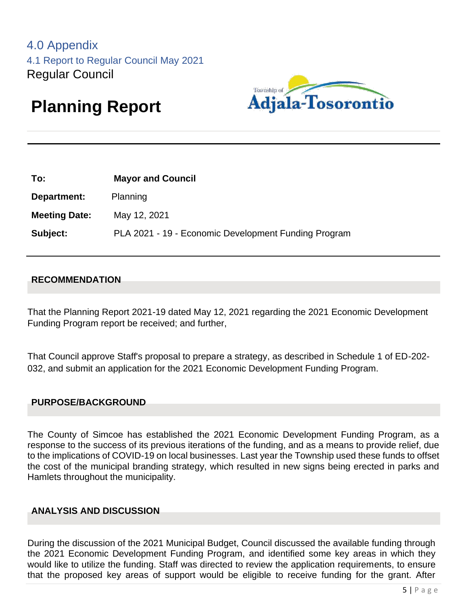

# <span id="page-5-1"></span><span id="page-5-0"></span>**Planning Report**

| To:                  | <b>Mayor and Council</b>                             |
|----------------------|------------------------------------------------------|
| Department:          | Planning                                             |
| <b>Meeting Date:</b> | May 12, 2021                                         |
| Subject:             | PLA 2021 - 19 - Economic Development Funding Program |
|                      |                                                      |

#### **RECOMMENDATION**

That the Planning Report 2021-19 dated May 12, 2021 regarding the 2021 Economic Development Funding Program report be received; and further,

That Council approve Staff's proposal to prepare a strategy, as described in Schedule 1 of ED-202- 032, and submit an application for the 2021 Economic Development Funding Program.

#### **PURPOSE/BACKGROUND**

The County of Simcoe has established the 2021 Economic Development Funding Program, as a response to the success of its previous iterations of the funding, and as a means to provide relief, due to the implications of COVID-19 on local businesses. Last year the Township used these funds to offset the cost of the municipal branding strategy, which resulted in new signs being erected in parks and Hamlets throughout the municipality.

#### **ANALYSIS AND DISCUSSION**

During the discussion of the 2021 Municipal Budget, Council discussed the available funding through the 2021 Economic Development Funding Program, and identified some key areas in which they would like to utilize the funding. Staff was directed to review the application requirements, to ensure that the proposed key areas of support would be eligible to receive funding for the grant. After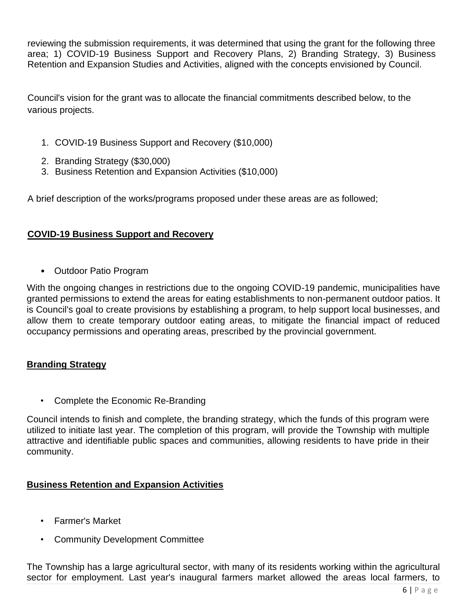reviewing the submission requirements, it was determined that using the grant for the following three area; 1) COVID-19 Business Support and Recovery Plans, 2) Branding Strategy, 3) Business Retention and Expansion Studies and Activities, aligned with the concepts envisioned by Council.

Council's vision for the grant was to allocate the financial commitments described below, to the various projects.

- 1. COVID-19 Business Support and Recovery (\$10,000)
- 2. Branding Strategy (\$30,000)
- 3. Business Retention and Expansion Activities (\$10,000)

A brief description of the works/programs proposed under these areas are as followed;

#### **COVID-19 Business Support and Recovery**

• Outdoor Patio Program

With the ongoing changes in restrictions due to the ongoing COVID-19 pandemic, municipalities have granted permissions to extend the areas for eating establishments to non-permanent outdoor patios. It is Council's goal to create provisions by establishing a program, to help support local businesses, and allow them to create temporary outdoor eating areas, to mitigate the financial impact of reduced occupancy permissions and operating areas, prescribed by the provincial government.

#### **Branding Strategy**

• Complete the Economic Re-Branding

Council intends to finish and complete, the branding strategy, which the funds of this program were utilized to initiate last year. The completion of this program, will provide the Township with multiple attractive and identifiable public spaces and communities, allowing residents to have pride in their community.

#### **Business Retention and Expansion Activities**

- Farmer's Market
- Community Development Committee

The Township has a large agricultural sector, with many of its residents working within the agricultural sector for employment. Last year's inaugural farmers market allowed the areas local farmers, to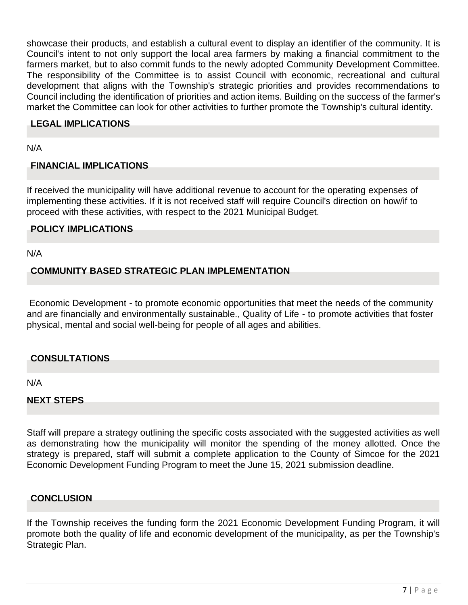showcase their products, and establish a cultural event to display an identifier of the community. It is Council's intent to not only support the local area farmers by making a financial commitment to the farmers market, but to also commit funds to the newly adopted Community Development Committee. The responsibility of the Committee is to assist Council with economic, recreational and cultural development that aligns with the Township's strategic priorities and provides recommendations to Council including the identification of priorities and action items. Building on the success of the farmer's market the Committee can look for other activities to further promote the Township's cultural identity.

#### **LEGAL IMPLICATIONS**

N/A

#### **FINANCIAL IMPLICATIONS**

If received the municipality will have additional revenue to account for the operating expenses of implementing these activities. If it is not received staff will require Council's direction on how/if to proceed with these activities, with respect to the 2021 Municipal Budget.

#### **POLICY IMPLICATIONS**

N/A

#### **COMMUNITY BASED STRATEGIC PLAN IMPLEMENTATION**

Economic Development - to promote economic opportunities that meet the needs of the community and are financially and environmentally sustainable., Quality of Life - to promote activities that foster physical, mental and social well-being for people of all ages and abilities.

#### **CONSULTATIONS**

N/A

#### **NEXT STEPS**

Staff will prepare a strategy outlining the specific costs associated with the suggested activities as well as demonstrating how the municipality will monitor the spending of the money allotted. Once the strategy is prepared, staff will submit a complete application to the County of Simcoe for the 2021 Economic Development Funding Program to meet the June 15, 2021 submission deadline.

#### **CONCLUSION**

If the Township receives the funding form the 2021 Economic Development Funding Program, it will promote both the quality of life and economic development of the municipality, as per the Township's Strategic Plan.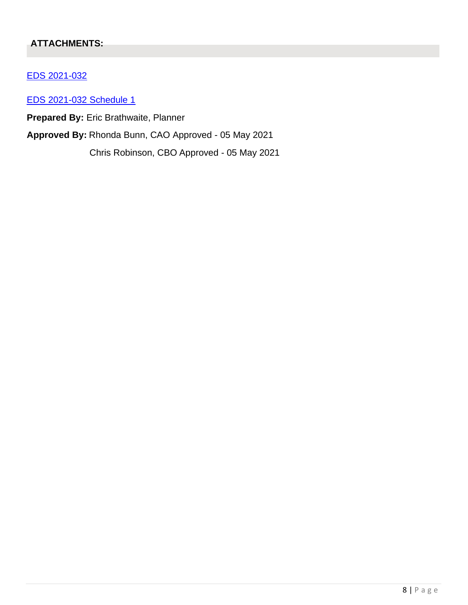#### **ATTACHMENTS:**

#### EDS 2021-032

EDS 2021-032 Schedule 1

**Prepared By:** Eric Brathwaite, Planner

**Approved By:** Rhonda Bunn, CAO Approved - 05 May 2021

Chris Robinson, CBO Approved - 05 May 2021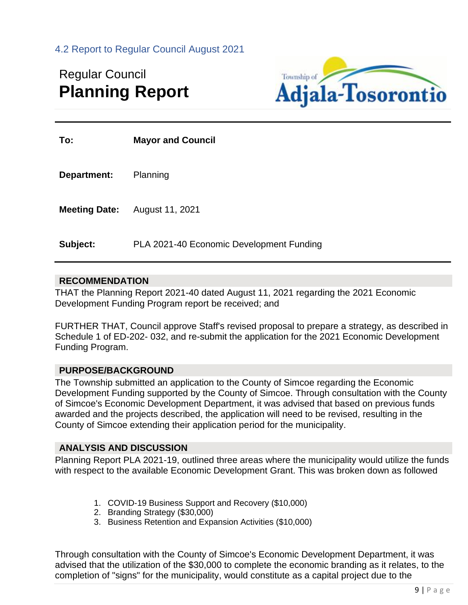<span id="page-9-0"></span>4.2 Report to Regular Council August 2021

## Regular Council **Planning Report**



| To:                  | <b>Mayor and Council</b>                 |
|----------------------|------------------------------------------|
| <b>Department:</b>   | Planning                                 |
| <b>Meeting Date:</b> | August 11, 2021                          |
| Subject:             | PLA 2021-40 Economic Development Funding |

#### **RECOMMENDATION**

THAT the Planning Report 2021-40 dated August 11, 2021 regarding the 2021 Economic Development Funding Program report be received; and

FURTHER THAT, Council approve Staff's revised proposal to prepare a strategy, as described in Schedule 1 of ED-202- 032, and re-submit the application for the 2021 Economic Development Funding Program.

#### **PURPOSE/BACKGROUND**

The Township submitted an application to the County of Simcoe regarding the Economic Development Funding supported by the County of Simcoe. Through consultation with the County of Simcoe's Economic Development Department, it was advised that based on previous funds awarded and the projects described, the application will need to be revised, resulting in the County of Simcoe extending their application period for the municipality.

#### **ANALYSIS AND DISCUSSION**

Planning Report PLA 2021-19, outlined three areas where the municipality would utilize the funds with respect to the available Economic Development Grant. This was broken down as followed

- 1. COVID-19 Business Support and Recovery (\$10,000)
- 2. Branding Strategy (\$30,000)
- 3. Business Retention and Expansion Activities (\$10,000)

Through consultation with the County of Simcoe's Economic Development Department, it was advised that the utilization of the \$30,000 to complete the economic branding as it relates, to the completion of "signs" for the municipality, would constitute as a capital project due to the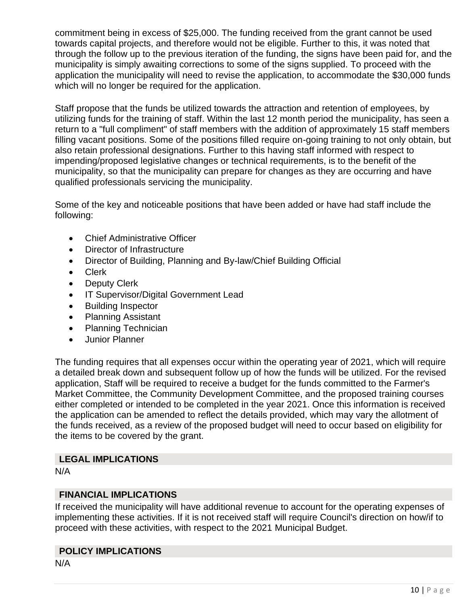commitment being in excess of \$25,000. The funding received from the grant cannot be used towards capital projects, and therefore would not be eligible. Further to this, it was noted that through the follow up to the previous iteration of the funding, the signs have been paid for, and the municipality is simply awaiting corrections to some of the signs supplied. To proceed with the application the municipality will need to revise the application, to accommodate the \$30,000 funds which will no longer be required for the application.

Staff propose that the funds be utilized towards the attraction and retention of employees, by utilizing funds for the training of staff. Within the last 12 month period the municipality, has seen a return to a "full compliment" of staff members with the addition of approximately 15 staff members filling vacant positions. Some of the positions filled require on-going training to not only obtain, but also retain professional designations. Further to this having staff informed with respect to impending/proposed legislative changes or technical requirements, is to the benefit of the municipality, so that the municipality can prepare for changes as they are occurring and have qualified professionals servicing the municipality.

Some of the key and noticeable positions that have been added or have had staff include the following:

- Chief Administrative Officer
- Director of Infrastructure
- Director of Building, Planning and By-law/Chief Building Official
- Clerk
- Deputy Clerk
- IT Supervisor/Digital Government Lead
- Building Inspector
- Planning Assistant
- Planning Technician
- Junior Planner

The funding requires that all expenses occur within the operating year of 2021, which will require a detailed break down and subsequent follow up of how the funds will be utilized. For the revised application, Staff will be required to receive a budget for the funds committed to the Farmer's Market Committee, the Community Development Committee, and the proposed training courses either completed or intended to be completed in the year 2021. Once this information is received the application can be amended to reflect the details provided, which may vary the allotment of the funds received, as a review of the proposed budget will need to occur based on eligibility for the items to be covered by the grant.

#### **LEGAL IMPLICATIONS**

N/A

#### **FINANCIAL IMPLICATIONS**

If received the municipality will have additional revenue to account for the operating expenses of implementing these activities. If it is not received staff will require Council's direction on how/if to proceed with these activities, with respect to the 2021 Municipal Budget.

#### **POLICY IMPLICATIONS**

N/A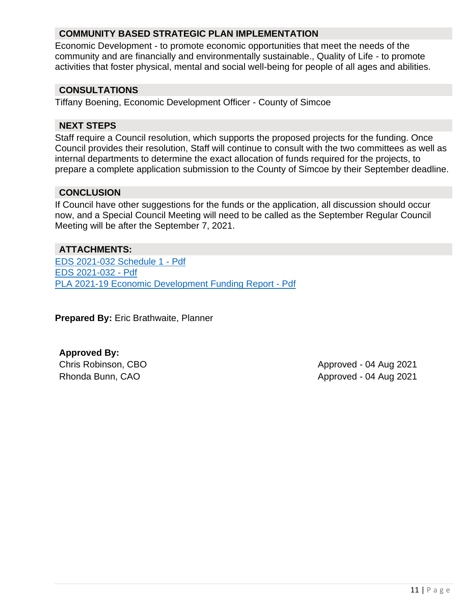#### **COMMUNITY BASED STRATEGIC PLAN IMPLEMENTATION**

Economic Development - to promote economic opportunities that meet the needs of the community and are financially and environmentally sustainable., Quality of Life - to promote activities that foster physical, mental and social well-being for people of all ages and abilities.

#### **CONSULTATIONS**

Tiffany Boening, Economic Development Officer - County of Simcoe

#### **NEXT STEPS**

Staff require a Council resolution, which supports the proposed projects for the funding. Once Council provides their resolution, Staff will continue to consult with the two committees as well as internal departments to determine the exact allocation of funds required for the projects, to prepare a complete application submission to the County of Simcoe by their September deadline.

#### **CONCLUSION**

If Council have other suggestions for the funds or the application, all discussion should occur now, and a Special Council Meeting will need to be called as the September Regular Council Meeting will be after the September 7, 2021.

#### **ATTACHMENTS:**

[EDS 2021-032 Schedule 1 -](https://adjala-tosorontio.civicweb.net/document/23946/EDS%202021-032%20Schedule%201%20-%20Pdf.pdf?handle=74C547E06601450FA6BAAE8AC486C23E) Pdf [EDS 2021-032 -](https://adjala-tosorontio.civicweb.net/document/23948/EDS%202021-032%20-%20Pdf.pdf?handle=5136385D64664A308C8BE29E7A65C12A) Pdf [PLA 2021-19 Economic Development Funding Report -](https://adjala-tosorontio.civicweb.net/document/23947/PLA%202021-19%20Economic%20Development%20Funding%20Report%20-%20.pdf?handle=CCD30244A163471A9E16AFDFBF858E2C) Pdf

**Prepared By:** Eric Brathwaite, Planner

**Approved By:**

<span id="page-11-0"></span>Chris Robinson, CBO **Approved - 04 Aug 2021** Rhonda Bunn, CAO **Approved - 04 Aug 2021**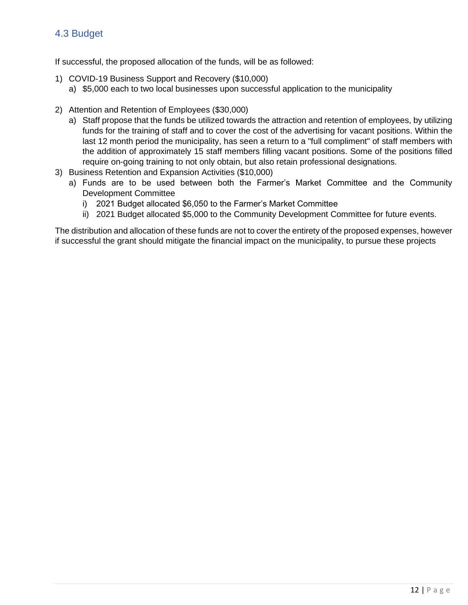#### 4.3 Budget

If successful, the proposed allocation of the funds, will be as followed:

- 1) COVID-19 Business Support and Recovery (\$10,000)
	- a) \$5,000 each to two local businesses upon successful application to the municipality
- 2) Attention and Retention of Employees (\$30,000)
	- a) Staff propose that the funds be utilized towards the attraction and retention of employees, by utilizing funds for the training of staff and to cover the cost of the advertising for vacant positions. Within the last 12 month period the municipality, has seen a return to a "full compliment" of staff members with the addition of approximately 15 staff members filling vacant positions. Some of the positions filled require on-going training to not only obtain, but also retain professional designations.
- 3) Business Retention and Expansion Activities (\$10,000)
	- a) Funds are to be used between both the Farmer's Market Committee and the Community Development Committee
		- i) 2021 Budget allocated \$6,050 to the Farmer's Market Committee
		- ii) 2021 Budget allocated \$5,000 to the Community Development Committee for future events.

The distribution and allocation of these funds are not to cover the entirety of the proposed expenses, however if successful the grant should mitigate the financial impact on the municipality, to pursue these projects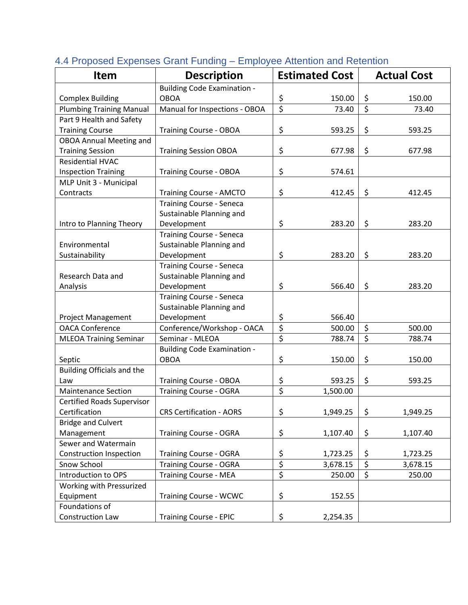| <b>Item</b>                       | <b>Description</b>                 |                                 | <b>Estimated Cost</b> |                  | <b>Actual Cost</b> |
|-----------------------------------|------------------------------------|---------------------------------|-----------------------|------------------|--------------------|
|                                   | <b>Building Code Examination -</b> |                                 |                       |                  |                    |
| <b>Complex Building</b>           | <b>OBOA</b>                        | \$                              | 150.00                | \$               | 150.00             |
| <b>Plumbing Training Manual</b>   | Manual for Inspections - OBOA      | $\overline{\xi}$                | 73.40                 | $\overline{\xi}$ | 73.40              |
| Part 9 Health and Safety          |                                    |                                 |                       |                  |                    |
| <b>Training Course</b>            | <b>Training Course - OBOA</b>      | \$                              | 593.25                | \$               | 593.25             |
| <b>OBOA Annual Meeting and</b>    |                                    |                                 |                       |                  |                    |
| <b>Training Session</b>           | <b>Training Session OBOA</b>       | \$                              | 677.98                | \$               | 677.98             |
| <b>Residential HVAC</b>           |                                    |                                 |                       |                  |                    |
| <b>Inspection Training</b>        | <b>Training Course - OBOA</b>      | \$                              | 574.61                |                  |                    |
| MLP Unit 3 - Municipal            |                                    |                                 |                       |                  |                    |
| Contracts                         | <b>Training Course - AMCTO</b>     | \$                              | 412.45                | \$               | 412.45             |
|                                   | <b>Training Course - Seneca</b>    |                                 |                       |                  |                    |
|                                   | Sustainable Planning and           |                                 |                       |                  |                    |
| Intro to Planning Theory          | Development                        | \$                              | 283.20                | \$               | 283.20             |
|                                   | <b>Training Course - Seneca</b>    |                                 |                       |                  |                    |
| Environmental                     | Sustainable Planning and           |                                 |                       |                  |                    |
| Sustainability                    | Development                        | \$                              | 283.20                | \$               | 283.20             |
|                                   | <b>Training Course - Seneca</b>    |                                 |                       |                  |                    |
| Research Data and                 | Sustainable Planning and           |                                 |                       |                  |                    |
| Analysis                          | Development                        | \$                              | 566.40                | \$               | 283.20             |
|                                   | <b>Training Course - Seneca</b>    |                                 |                       |                  |                    |
|                                   | Sustainable Planning and           |                                 |                       |                  |                    |
| <b>Project Management</b>         | Development                        | \$                              | 566.40                |                  |                    |
| <b>OACA Conference</b>            | Conference/Workshop - OACA         | \$                              | 500.00                | \$               | 500.00             |
| <b>MLEOA Training Seminar</b>     | Seminar - MLEOA                    | $\overline{\xi}$                | 788.74                | $\overline{\xi}$ | 788.74             |
|                                   | <b>Building Code Examination -</b> |                                 |                       |                  |                    |
| Septic                            | <b>OBOA</b>                        | \$                              | 150.00                | \$               | 150.00             |
| <b>Building Officials and the</b> |                                    |                                 |                       |                  |                    |
| Law                               | <b>Training Course - OBOA</b>      | \$                              | 593.25                | \$               | 593.25             |
| <b>Maintenance Section</b>        | <b>Training Course - OGRA</b>      | $\overline{\boldsymbol{\zeta}}$ | 1,500.00              |                  |                    |
| <b>Certified Roads Supervisor</b> |                                    |                                 |                       |                  |                    |
| Certification                     | <b>CRS Certification - AORS</b>    | \$                              | 1,949.25              | \$               | 1,949.25           |
| <b>Bridge and Culvert</b>         |                                    |                                 |                       |                  |                    |
| Management                        | <b>Training Course - OGRA</b>      | \$                              | 1,107.40              | \$               | 1,107.40           |
| Sewer and Watermain               |                                    |                                 |                       |                  |                    |
| <b>Construction Inspection</b>    | <b>Training Course - OGRA</b>      | \$                              | 1,723.25              | \$               | 1,723.25           |
| Snow School                       | <b>Training Course - OGRA</b>      | \$                              | 3,678.15              | $\overline{\xi}$ | 3,678.15           |
| Introduction to OPS               | <b>Training Course - MEA</b>       | \$                              | 250.00                | $\overline{\xi}$ | 250.00             |
| Working with Pressurized          |                                    |                                 |                       |                  |                    |
| Equipment                         | <b>Training Course - WCWC</b>      | \$                              | 152.55                |                  |                    |
| Foundations of                    |                                    |                                 |                       |                  |                    |
| Construction Law                  | <b>Training Course - EPIC</b>      | \$                              | 2,254.35              |                  |                    |

#### 4.4 Proposed Expenses Grant Funding – Employee Attention and Retention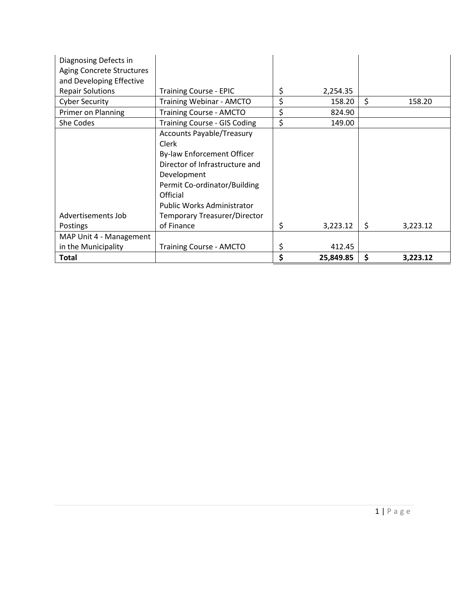| Diagnosing Defects in<br><b>Aging Concrete Structures</b> |                                     |                 |                    |          |
|-----------------------------------------------------------|-------------------------------------|-----------------|--------------------|----------|
| and Developing Effective                                  |                                     |                 |                    |          |
| <b>Repair Solutions</b>                                   | <b>Training Course - EPIC</b>       | \$<br>2,254.35  |                    |          |
| <b>Cyber Security</b>                                     | <b>Training Webinar - AMCTO</b>     | \$<br>158.20    | $\mathsf{\hat{S}}$ | 158.20   |
| Primer on Planning                                        | <b>Training Course - AMCTO</b>      | \$<br>824.90    |                    |          |
| She Codes                                                 | <b>Training Course - GIS Coding</b> | \$<br>149.00    |                    |          |
|                                                           | <b>Accounts Payable/Treasury</b>    |                 |                    |          |
|                                                           | Clerk                               |                 |                    |          |
|                                                           | By-law Enforcement Officer          |                 |                    |          |
|                                                           | Director of Infrastructure and      |                 |                    |          |
|                                                           | Development                         |                 |                    |          |
|                                                           | Permit Co-ordinator/Building        |                 |                    |          |
|                                                           | Official                            |                 |                    |          |
|                                                           | <b>Public Works Administrator</b>   |                 |                    |          |
| Advertisements Job                                        | Temporary Treasurer/Director        |                 |                    |          |
| <b>Postings</b>                                           | of Finance                          | \$<br>3,223.12  | \$                 | 3,223.12 |
| MAP Unit 4 - Management                                   |                                     |                 |                    |          |
| in the Municipality                                       | <b>Training Course - AMCTO</b>      | \$<br>412.45    |                    |          |
| <b>Total</b>                                              |                                     | \$<br>25,849.85 | \$                 | 3,223.12 |